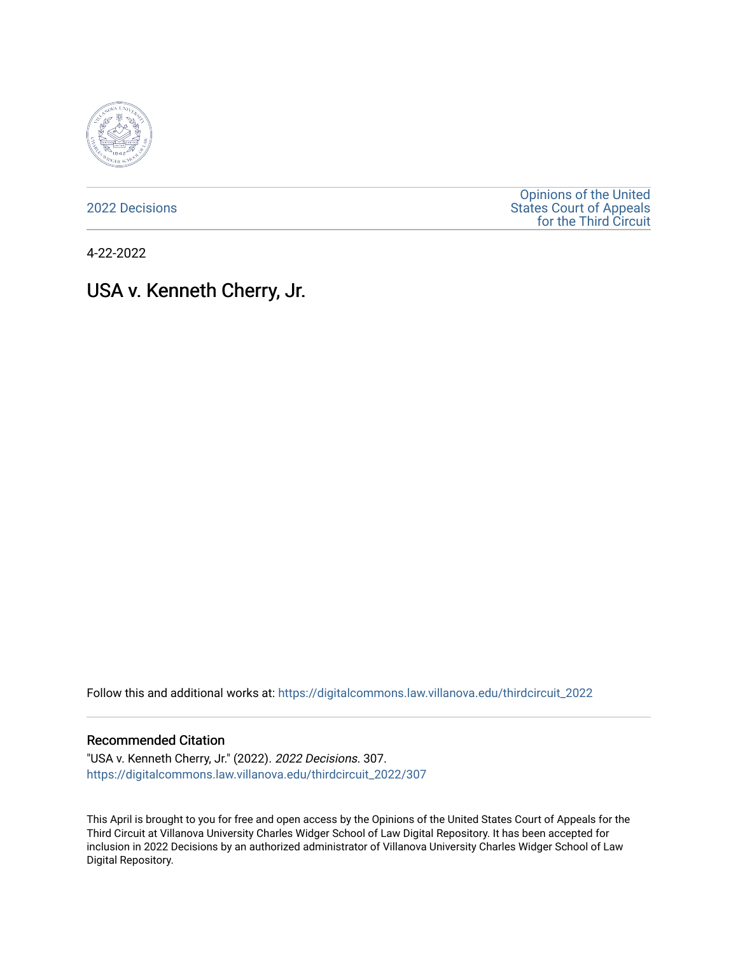

[2022 Decisions](https://digitalcommons.law.villanova.edu/thirdcircuit_2022)

[Opinions of the United](https://digitalcommons.law.villanova.edu/thirdcircuit)  [States Court of Appeals](https://digitalcommons.law.villanova.edu/thirdcircuit)  [for the Third Circuit](https://digitalcommons.law.villanova.edu/thirdcircuit) 

4-22-2022

# USA v. Kenneth Cherry, Jr.

Follow this and additional works at: [https://digitalcommons.law.villanova.edu/thirdcircuit\\_2022](https://digitalcommons.law.villanova.edu/thirdcircuit_2022?utm_source=digitalcommons.law.villanova.edu%2Fthirdcircuit_2022%2F307&utm_medium=PDF&utm_campaign=PDFCoverPages) 

#### Recommended Citation

"USA v. Kenneth Cherry, Jr." (2022). 2022 Decisions. 307. [https://digitalcommons.law.villanova.edu/thirdcircuit\\_2022/307](https://digitalcommons.law.villanova.edu/thirdcircuit_2022/307?utm_source=digitalcommons.law.villanova.edu%2Fthirdcircuit_2022%2F307&utm_medium=PDF&utm_campaign=PDFCoverPages)

This April is brought to you for free and open access by the Opinions of the United States Court of Appeals for the Third Circuit at Villanova University Charles Widger School of Law Digital Repository. It has been accepted for inclusion in 2022 Decisions by an authorized administrator of Villanova University Charles Widger School of Law Digital Repository.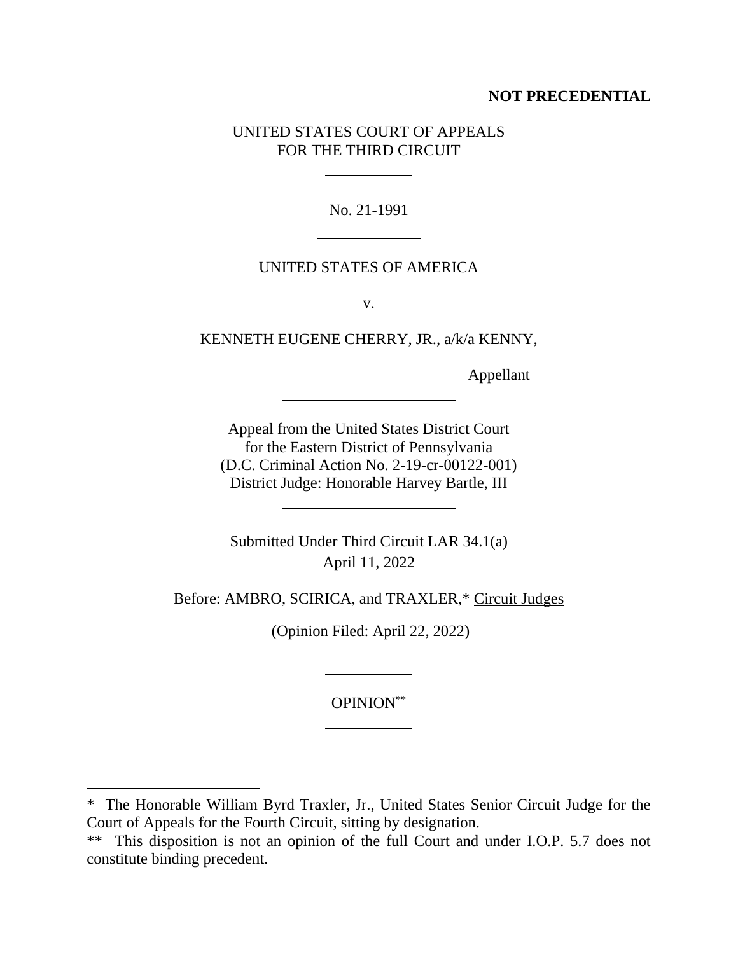## **NOT PRECEDENTIAL**

## UNITED STATES COURT OF APPEALS FOR THE THIRD CIRCUIT

No. 21-1991

## UNITED STATES OF AMERICA

v.

KENNETH EUGENE CHERRY, JR., a/k/a KENNY,

Appellant

Appeal from the United States District Court for the Eastern District of Pennsylvania (D.C. Criminal Action No. 2-19-cr-00122-001) District Judge: Honorable Harvey Bartle, III

Submitted Under Third Circuit LAR 34.1(a) April 11, 2022

Before: AMBRO, SCIRICA, and TRAXLER,\* Circuit Judges

(Opinion Filed: April 22, 2022)

OPINION\*\*

l,

<sup>\*</sup> The Honorable William Byrd Traxler, Jr., United States Senior Circuit Judge for the Court of Appeals for the Fourth Circuit, sitting by designation.

<sup>\*\*</sup> This disposition is not an opinion of the full Court and under I.O.P. 5.7 does not constitute binding precedent.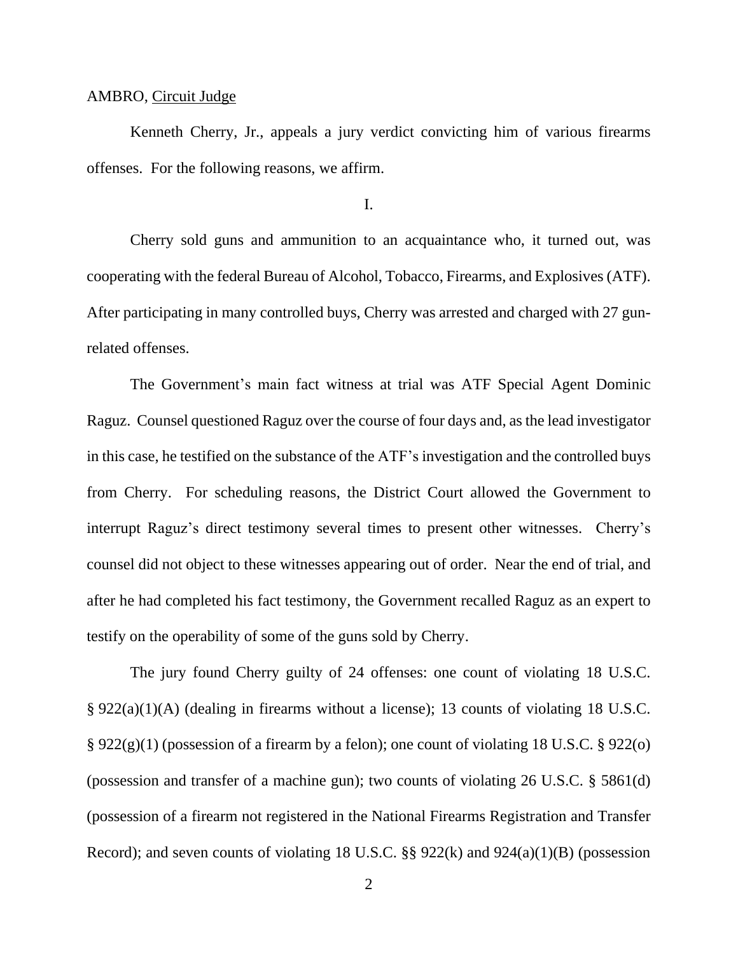#### AMBRO, Circuit Judge

Kenneth Cherry, Jr., appeals a jury verdict convicting him of various firearms offenses. For the following reasons, we affirm.

I.

Cherry sold guns and ammunition to an acquaintance who, it turned out, was cooperating with the federal Bureau of Alcohol, Tobacco, Firearms, and Explosives (ATF). After participating in many controlled buys, Cherry was arrested and charged with 27 gunrelated offenses.

The Government's main fact witness at trial was ATF Special Agent Dominic Raguz. Counsel questioned Raguz over the course of four days and, as the lead investigator in this case, he testified on the substance of the ATF's investigation and the controlled buys from Cherry. For scheduling reasons, the District Court allowed the Government to interrupt Raguz's direct testimony several times to present other witnesses. Cherry's counsel did not object to these witnesses appearing out of order.Near the end of trial, and after he had completed his fact testimony, the Government recalled Raguz as an expert to testify on the operability of some of the guns sold by Cherry.

The jury found Cherry guilty of 24 offenses: one count of violating 18 U.S.C. § 922(a)(1)(A) (dealing in firearms without a license); 13 counts of violating 18 U.S.C. § 922(g)(1) (possession of a firearm by a felon); one count of violating 18 U.S.C. § 922(o) (possession and transfer of a machine gun); two counts of violating 26 U.S.C. § 5861(d) (possession of a firearm not registered in the National Firearms Registration and Transfer Record); and seven counts of violating 18 U.S.C. §§ 922(k) and 924(a)(1)(B) (possession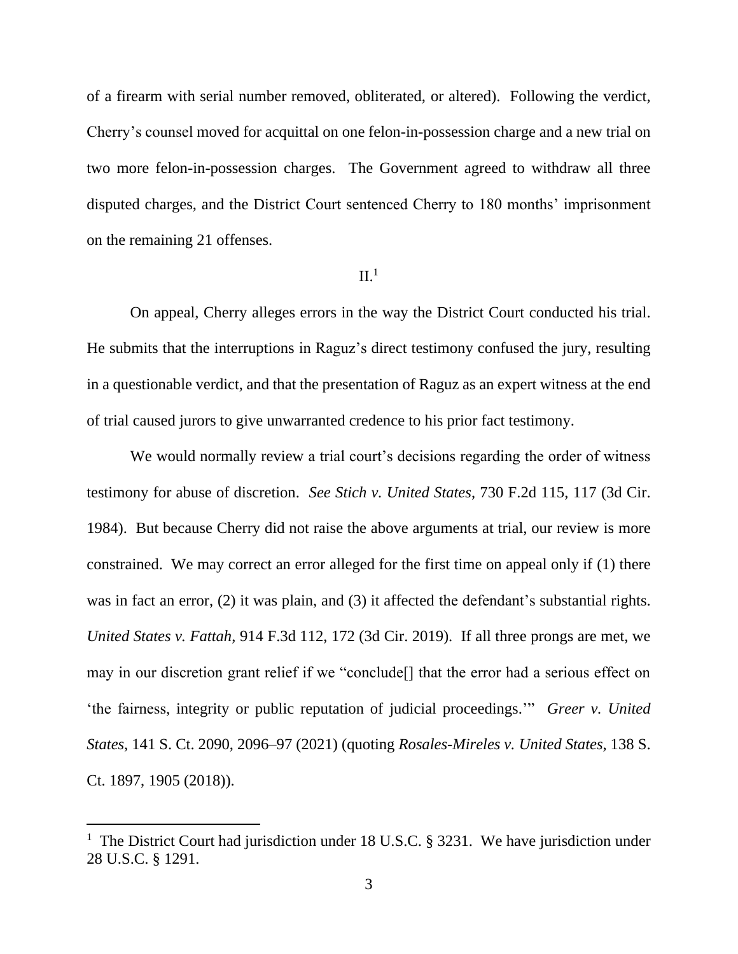of a firearm with serial number removed, obliterated, or altered). Following the verdict, Cherry's counsel moved for acquittal on one felon-in-possession charge and a new trial on two more felon-in-possession charges. The Government agreed to withdraw all three disputed charges, and the District Court sentenced Cherry to 180 months' imprisonment on the remaining 21 offenses.

#### $II<sup>1</sup>$

On appeal, Cherry alleges errors in the way the District Court conducted his trial. He submits that the interruptions in Raguz's direct testimony confused the jury, resulting in a questionable verdict, and that the presentation of Raguz as an expert witness at the end of trial caused jurors to give unwarranted credence to his prior fact testimony.

We would normally review a trial court's decisions regarding the order of witness testimony for abuse of discretion. *See Stich v. United States*, 730 F.2d 115, 117 (3d Cir. 1984). But because Cherry did not raise the above arguments at trial, our review is more constrained. We may correct an error alleged for the first time on appeal only if (1) there was in fact an error, (2) it was plain, and (3) it affected the defendant's substantial rights. *United States v. Fattah*, 914 F.3d 112, 172 (3d Cir. 2019). If all three prongs are met, we may in our discretion grant relief if we "conclude[] that the error had a serious effect on 'the fairness, integrity or public reputation of judicial proceedings.'" *Greer v. United States*, 141 S. Ct. 2090, 2096–97 (2021) (quoting *Rosales-Mireles v. United States*, 138 S. Ct. 1897, 1905 (2018)).

<sup>&</sup>lt;sup>1</sup> The District Court had jurisdiction under 18 U.S.C. § 3231. We have jurisdiction under 28 U.S.C. § 1291.